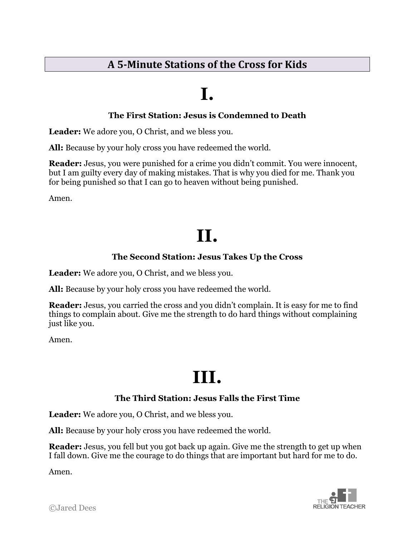### **A 5-Minute Stations of the Cross for Kids**

### **I.**

#### **The First Station: Jesus is Condemned to Death**

**Leader:** We adore you, O Christ, and we bless you.

**All:** Because by your holy cross you have redeemed the world.

**Reader:** Jesus, you were punished for a crime you didn't commit. You were innocent, but I am guilty every day of making mistakes. That is why you died for me. Thank you for being punished so that I can go to heaven without being punished.

Amen.

## **II.**

#### **The Second Station: Jesus Takes Up the Cross**

**Leader:** We adore you, O Christ, and we bless you.

**All:** Because by your holy cross you have redeemed the world.

**Reader:** Jesus, you carried the cross and you didn't complain. It is easy for me to find things to complain about. Give me the strength to do hard things without complaining just like you.

Amen.

## **III.**

#### **The Third Station: Jesus Falls the First Time**

**Leader:** We adore you, O Christ, and we bless you.

**All:** Because by your holy cross you have redeemed the world.

**Reader:** Jesus, you fell but you got back up again. Give me the strength to get up when I fall down. Give me the courage to do things that are important but hard for me to do.

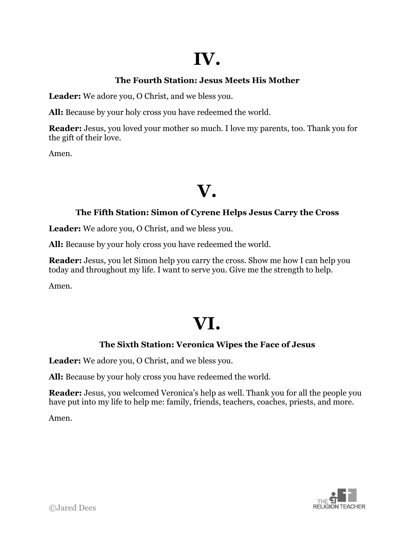## **IV.**

### **The Fourth Station: Jesus Meets His Mother**

**Leader:** We adore you, O Christ, and we bless you.

**All:** Because by your holy cross you have redeemed the world.

**Reader:** Jesus, you loved your mother so much. I love my parents, too. Thank you for the gift of their love.

Amen.

### **V.**

#### **The Fifth Station: Simon of Cyrene Helps Jesus Carry the Cross**

**Leader:** We adore you, O Christ, and we bless you.

**All:** Because by your holy cross you have redeemed the world.

**Reader:** Jesus, you let Simon help you carry the cross. Show me how I can help you today and throughout my life. I want to serve you. Give me the strength to help.

Amen.

## **VI.**

### **The Sixth Station: Veronica Wipes the Face of Jesus**

**Leader:** We adore you, O Christ, and we bless you.

**All:** Because by your holy cross you have redeemed the world.

**Reader:** Jesus, you welcomed Veronica's help as well. Thank you for all the people you have put into my life to help me: family, friends, teachers, coaches, priests, and more.

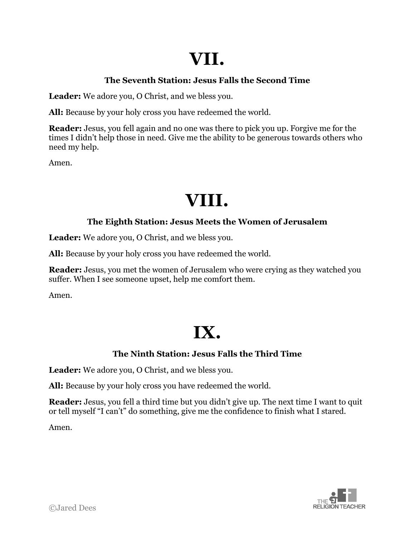## **VII.**

### **The Seventh Station: Jesus Falls the Second Time**

**Leader:** We adore you, O Christ, and we bless you.

**All:** Because by your holy cross you have redeemed the world.

**Reader:** Jesus, you fell again and no one was there to pick you up. Forgive me for the times I didn't help those in need. Give me the ability to be generous towards others who need my help.

Amen.

### **VIII.**

#### **The Eighth Station: Jesus Meets the Women of Jerusalem**

**Leader:** We adore you, O Christ, and we bless you.

**All:** Because by your holy cross you have redeemed the world.

**Reader:** Jesus, you met the women of Jerusalem who were crying as they watched you suffer. When I see someone upset, help me comfort them.

Amen.

## **IX.**

### **The Ninth Station: Jesus Falls the Third Time**

**Leader:** We adore you, O Christ, and we bless you.

**All:** Because by your holy cross you have redeemed the world.

**Reader:** Jesus, you fell a third time but you didn't give up. The next time I want to quit or tell myself "I can't" do something, give me the confidence to finish what I stared.

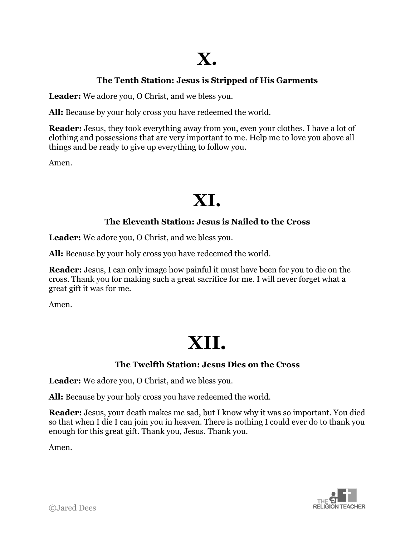### **X.**

#### **The Tenth Station: Jesus is Stripped of His Garments**

**Leader:** We adore you, O Christ, and we bless you.

**All:** Because by your holy cross you have redeemed the world.

**Reader:** Jesus, they took everything away from you, even your clothes. I have a lot of clothing and possessions that are very important to me. Help me to love you above all things and be ready to give up everything to follow you.

Amen.

### **XI.**

#### **The Eleventh Station: Jesus is Nailed to the Cross**

**Leader:** We adore you, O Christ, and we bless you.

**All:** Because by your holy cross you have redeemed the world.

**Reader:** Jesus, I can only image how painful it must have been for you to die on the cross. Thank you for making such a great sacrifice for me. I will never forget what a great gift it was for me.

Amen.

# **XII.**

#### **The Twelfth Station: Jesus Dies on the Cross**

**Leader:** We adore you, O Christ, and we bless you.

**All:** Because by your holy cross you have redeemed the world.

**Reader:** Jesus, your death makes me sad, but I know why it was so important. You died so that when I die I can join you in heaven. There is nothing I could ever do to thank you enough for this great gift. Thank you, Jesus. Thank you.